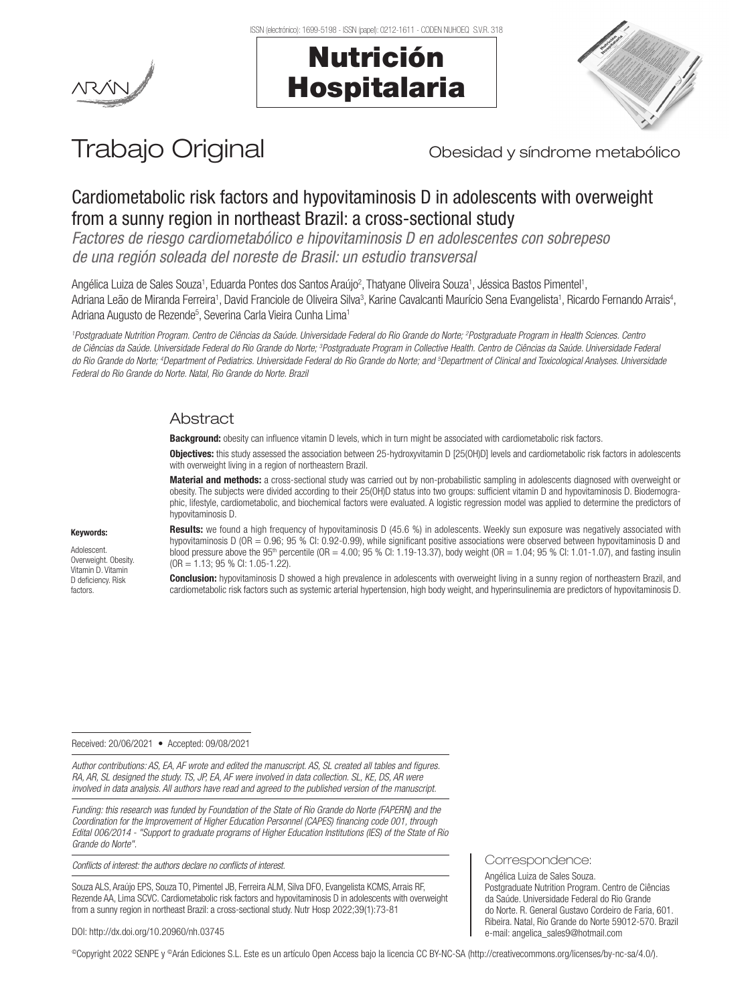





# Trabajo Original **Trabajo Original** Obesidad y síndrome metabólico

Correspondence: Angélica Luiza de Sales Souza.

e-mail: angelica\_sales9@hotmail.com

Postgraduate Nutrition Program. Centro de Ciências da Saúde. Universidade Federal do Rio Grande do Norte. R. General Gustavo Cordeiro de Faria, 601. Ribeira. Natal, Rio Grande do Norte 59012-570. Brazil

## Cardiometabolic risk factors and hypovitaminosis D in adolescents with overweight from a sunny region in northeast Brazil: a cross-sectional study

*Factores de riesgo cardiometabólico e hipovitaminosis D en adolescentes con sobrepeso de una región soleada del noreste de Brasil: un estudio transversal*

Angélica Luiza de Sales Souza<sup>1</sup>, Eduarda Pontes dos Santos Araújo<sup>2</sup>, Thatyane Oliveira Souza<sup>1</sup>, Jéssica Bastos Pimentel<sup>1</sup>, Adriana Leão de Miranda Ferreira<sup>1</sup>, David Franciole de Oliveira Silva<sup>3</sup>, Karine Cavalcanti Maurício Sena Evangelista<sup>1</sup>, Ricardo Fernando Arrais<sup>4</sup>, Adriana Augusto de Rezende<sup>5</sup>, Severina Carla Vieira Cunha Lima<sup>1</sup>

*1 Postgraduate Nutrition Program. Centro de Ciências da Saúde. Universidade Federal do Rio Grande do Norte; 2 Postgraduate Program in Health Sciences. Centro de Ciências da Saúde. Universidade Federal do Rio Grande do Norte; 3 Postgraduate Program in Collective Health. Centro de Ciências da Saúde. Universidade Federal*  do Rio Grande do Norte; <sup>4</sup>Department of Pediatrics. Universidade Federal do Rio Grande do Norte; and <sup>s</sup>Department of Clinical and Toxicological Analyses. Universidade *Federal do Rio Grande do Norte. Natal, Rio Grande do Norte. Brazil* 

## **Abstract**

Background: obesity can influence vitamin D levels, which in turn might be associated with cardiometabolic risk factors.

Objectives: this study assessed the association between 25-hydroxyvitamin D [25(OH)D] levels and cardiometabolic risk factors in adolescents with overweight living in a region of northeastern Brazil.

Material and methods: a cross-sectional study was carried out by non-probabilistic sampling in adolescents diagnosed with overweight or obesity. The subjects were divided according to their 25(OH)D status into two groups: sufficient vitamin D and hypovitaminosis D. Biodemographic, lifestyle, cardiometabolic, and biochemical factors were evaluated. A logistic regression model was applied to determine the predictors of hypovitaminosis D.

#### Keywords:

Adolescent. Overweight. Obesity. Vitamin D. Vitamin D deficiency. Risk factors.

Results: we found a high frequency of hypovitaminosis D (45.6 %) in adolescents. Weekly sun exposure was negatively associated with hypovitaminosis D (OR = 0.96; 95 % CI: 0.92-0.99), while significant positive associations were observed between hypovitaminosis D and blood pressure above the 95<sup>th</sup> percentile (OR = 4.00; 95 % CI: 1.19-13.37), body weight (OR = 1.04; 95 % CI: 1.01-1.07), and fasting insulin (OR = 1.13; 95 % CI: 1.05-1.22).

**Conclusion:** hypovitaminosis D showed a high prevalence in adolescents with overweight living in a sunny region of northeastern Brazil, and cardiometabolic risk factors such as systemic arterial hypertension, high body weight, and hyperinsulinemia are predictors of hypovitaminosis D.

#### Received: 20/06/2021 • Accepted: 09/08/2021

*Author contributions: AS, EA, AF wrote and edited the manuscript. AS, SL created all tables and figures. RA, AR, SL designed the study. TS, JP, EA, AF were involved in data collection. SL, KE, DS, AR were involved in data analysis. All authors have read and agreed to the published version of the manuscript.*

*Funding: this research was funded by Foundation of the State of Rio Grande do Norte (FAPERN) and the Coordination for the Improvement of Higher Education Personnel (CAPES) financing code 001, through Edital 006/2014 - "Support to graduate programs of Higher Education Institutions (IES) of the State of Rio Grande do Norte".*

*Conflicts of interest: the authors declare no conflicts of interest.*

Souza ALS, Araújo EPS, Souza TO, Pimentel JB, Ferreira ALM, Silva DFO, Evangelista KCMS, Arrais RF, Rezende AA, Lima SCVC. Cardiometabolic risk factors and hypovitaminosis D in adolescents with overweight from a sunny region in northeast Brazil: a cross-sectional study. Nutr Hosp 2022;39(1):73-81

#### DOI: http://dx.doi.org/10.20960/nh.03745

©Copyright 2022 SENPE y ©Arán Ediciones S.L. Este es un artículo Open Access bajo la licencia CC BY-NC-SA (http://creativecommons.org/licenses/by-nc-sa/4.0/).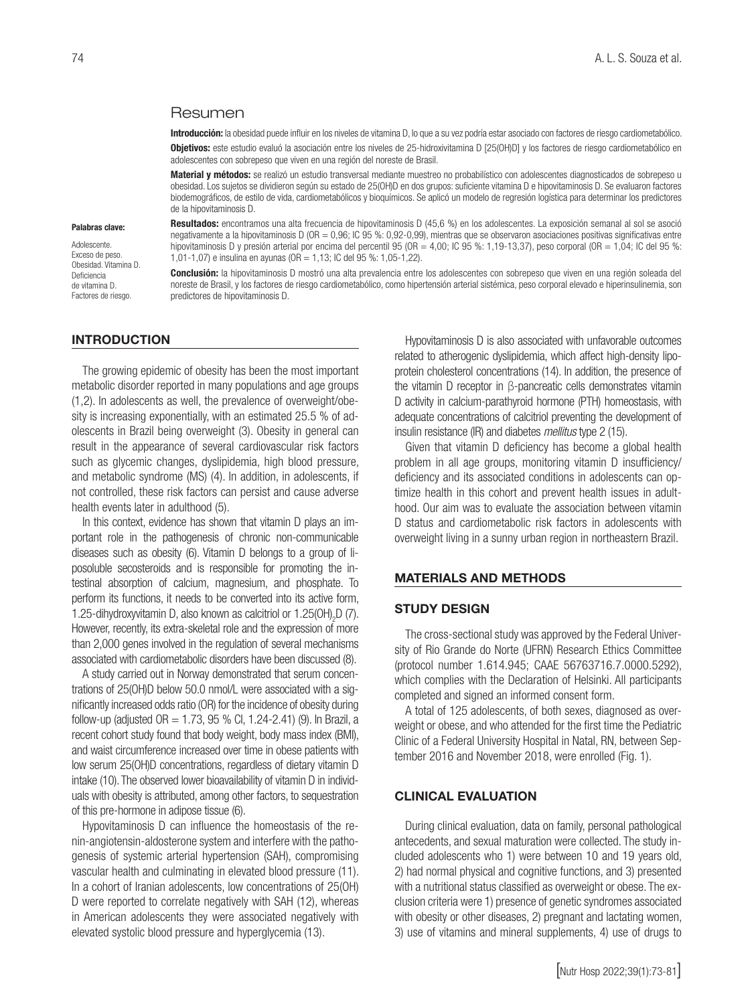#### Resumen

1,01-1,07) e insulina en ayunas (OR = 1,13; IC del 95 %: 1,05-1,22).

Introducción: la obesidad puede influir en los niveles de vitamina D, lo que a su vez podría estar asociado con factores de riesgo cardiometabólico. Obietivos: este estudio evaluó la asociación entre los niveles de 25-hidroxivitamina D [25(OH)D] y los factores de riesgo cardiometabólico en adolescentes con sobrepeso que viven en una región del noreste de Brasil.

Material y métodos: se realizó un estudio transversal mediante muestreo no probabilístico con adolescentes diagnosticados de sobrepeso u obesidad. Los sujetos se dividieron según su estado de 25(OH)D en dos grupos: suficiente vitamina D e hipovitaminosis D. Se evaluaron factores biodemográficos, de estilo de vida, cardiometabólicos y bioquímicos. Se aplicó un modelo de regresión logística para determinar los predictores de la hipovitaminosis D.

Resultados: encontramos una alta frecuencia de hipovitaminosis D (45,6 %) en los adolescentes. La exposición semanal al sol se asoció negativamente a la hipovitaminosis D (OR = 0,96; IC 95 %: 0,92-0,99), mientras que se observaron asociaciones positivas significativas entre hipovitaminosis D y presión arterial por encima del percentil 95 (OR = 4,00; IC 95 %: 1,19-13,37), peso corporal (OR = 1,04; IC del 95 %:

Conclusión: la hipovitaminosis D mostró una alta prevalencia entre los adolescentes con sobrepeso que viven en una región soleada del noreste de Brasil, y los factores de riesgo cardiometabólico, como hipertensión arterial sistémica, peso corporal elevado e hiperinsulinemia, son

#### Palabras clave:

Adolescente. Exceso de peso. Obesidad. Vitamina D. Deficiencia de vitamina D. Factores de riesgo.

#### INTRODUCTION

The growing epidemic of obesity has been the most important metabolic disorder reported in many populations and age groups (1,2). In adolescents as well, the prevalence of overweight/obesity is increasing exponentially, with an estimated 25.5 % of adolescents in Brazil being overweight (3). Obesity in general can result in the appearance of several cardiovascular risk factors such as glycemic changes, dyslipidemia, high blood pressure, and metabolic syndrome (MS) (4). In addition, in adolescents, if not controlled, these risk factors can persist and cause adverse health events later in adulthood (5).

predictores de hipovitaminosis D.

In this context, evidence has shown that vitamin D plays an important role in the pathogenesis of chronic non-communicable diseases such as obesity (6). Vitamin D belongs to a group of liposoluble secosteroids and is responsible for promoting the intestinal absorption of calcium, magnesium, and phosphate. To perform its functions, it needs to be converted into its active form, 1.25-dihydroxyvitamin D, also known as calcitriol or  $1.25(OH)_{2}D$  (7). However, recently, its extra-skeletal role and the expression of more than 2,000 genes involved in the regulation of several mechanisms associated with cardiometabolic disorders have been discussed (8).

A study carried out in Norway demonstrated that serum concentrations of 25(OH)D below 50.0 nmol/L were associated with a significantly increased odds ratio (OR) for the incidence of obesity during follow-up (adjusted  $OR = 1.73$ , 95 % Cl, 1.24-2.41) (9). In Brazil, a recent cohort study found that body weight, body mass index (BMI), and waist circumference increased over time in obese patients with low serum 25(OH)D concentrations, regardless of dietary vitamin D intake (10). The observed lower bioavailability of vitamin D in individuals with obesity is attributed, among other factors, to sequestration of this pre-hormone in adipose tissue (6).

Hypovitaminosis D can influence the homeostasis of the renin-angiotensin-aldosterone system and interfere with the pathogenesis of systemic arterial hypertension (SAH), compromising vascular health and culminating in elevated blood pressure (11). In a cohort of Iranian adolescents, low concentrations of 25(OH) D were reported to correlate negatively with SAH (12), whereas in American adolescents they were associated negatively with elevated systolic blood pressure and hyperglycemia (13).

Hypovitaminosis D is also associated with unfavorable outcomes related to atherogenic dyslipidemia, which affect high-density lipoprotein cholesterol concentrations (14). In addition, the presence of the vitamin D receptor in β-pancreatic cells demonstrates vitamin D activity in calcium-parathyroid hormone (PTH) homeostasis, with adequate concentrations of calcitriol preventing the development of insulin resistance (IR) and diabetes *mellitus* type 2 (15).

Given that vitamin D deficiency has become a global health problem in all age groups, monitoring vitamin D insufficiency/ deficiency and its associated conditions in adolescents can optimize health in this cohort and prevent health issues in adulthood. Our aim was to evaluate the association between vitamin D status and cardiometabolic risk factors in adolescents with overweight living in a sunny urban region in northeastern Brazil.

#### MATERIALS AND METHODS

#### STUDY DESIGN

The cross-sectional study was approved by the Federal University of Rio Grande do Norte (UFRN) Research Ethics Committee (protocol number 1.614.945; CAAE 56763716.7.0000.5292), which complies with the Declaration of Helsinki. All participants completed and signed an informed consent form.

A total of 125 adolescents, of both sexes, diagnosed as overweight or obese, and who attended for the first time the Pediatric Clinic of a Federal University Hospital in Natal, RN, between September 2016 and November 2018, were enrolled (Fig. 1).

## CLINICAL EVALUATION

During clinical evaluation, data on family, personal pathological antecedents, and sexual maturation were collected. The study included adolescents who 1) were between 10 and 19 years old, 2) had normal physical and cognitive functions, and 3) presented with a nutritional status classified as overweight or obese. The exclusion criteria were 1) presence of genetic syndromes associated with obesity or other diseases, 2) pregnant and lactating women, 3) use of vitamins and mineral supplements, 4) use of drugs to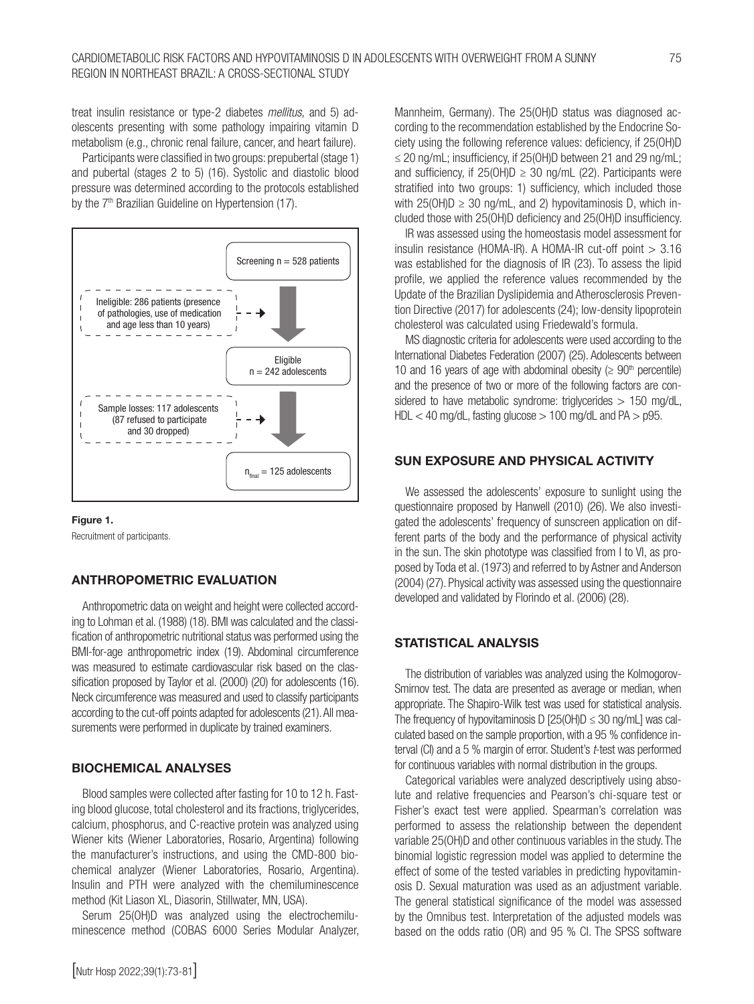treat insulin resistance or type-2 diabetes *mellitus,* and 5) adolescents presenting with some pathology impairing vitamin D metabolism (e.g., chronic renal failure, cancer, and heart failure).

Participants were classified in two groups: prepubertal (stage 1) and pubertal (stages 2 to 5) (16). Systolic and diastolic blood pressure was determined according to the protocols established by the 7<sup>th</sup> Brazilian Guideline on Hypertension (17).





Recruitment of participants.

## ANTHROPOMETRIC EVALUATION

Anthropometric data on weight and height were collected according to Lohman et al. (1988) (18). BMI was calculated and the classification of anthropometric nutritional status was performed using the BMI-for-age anthropometric index (19). Abdominal circumference was measured to estimate cardiovascular risk based on the classification proposed by Taylor et al. (2000) (20) for adolescents (16). Neck circumference was measured and used to classify participants according to the cut-off points adapted for adolescents (21). All measurements were performed in duplicate by trained examiners.

## BIOCHEMICAL ANALYSES

Blood samples were collected after fasting for 10 to 12 h. Fasting blood glucose, total cholesterol and its fractions, triglycerides, calcium, phosphorus, and C-reactive protein was analyzed using Wiener kits (Wiener Laboratories, Rosario, Argentina) following the manufacturer's instructions, and using the CMD-800 biochemical analyzer (Wiener Laboratories, Rosario, Argentina). Insulin and PTH were analyzed with the chemiluminescence method (Kit Liason XL, Diasorin, Stillwater, MN, USA).

Serum 25(OH)D was analyzed using the electrochemiluminescence method (COBAS 6000 Series Modular Analyzer, Mannheim, Germany). The 25(OH)D status was diagnosed according to the recommendation established by the Endocrine Society using the following reference values: deficiency, if 25(OH)D  $\leq$  20 ng/mL; insufficiency, if 25(OH)D between 21 and 29 ng/mL; and sufficiency, if  $25(OH)D \geq 30$  ng/mL (22). Participants were stratified into two groups: 1) sufficiency, which included those with  $25(OH)D \geq 30$  ng/mL, and 2) hypovitaminosis D, which included those with 25(OH)D deficiency and 25(OH)D insufficiency.

IR was assessed using the homeostasis model assessment for insulin resistance (HOMA-IR). A HOMA-IR cut-off point > 3.16 was established for the diagnosis of IR (23). To assess the lipid profile, we applied the reference values recommended by the Update of the Brazilian Dyslipidemia and Atherosclerosis Prevention Directive (2017) for adolescents (24); low-density lipoprotein cholesterol was calculated using Friedewald's formula.

MS diagnostic criteria for adolescents were used according to the International Diabetes Federation (2007) (25). Adolescents between 10 and 16 years of age with abdominal obesity ( $\geq 90$ <sup>th</sup> percentile) and the presence of two or more of the following factors are considered to have metabolic syndrome: triglycerides  $> 150$  mg/dL,  $HDL < 40$  mg/dL, fasting glucose  $> 100$  mg/dL and  $PA > p95$ .

#### SUN EXPOSURE AND PHYSICAL ACTIVITY

We assessed the adolescents' exposure to sunlight using the questionnaire proposed by Hanwell (2010) (26). We also investigated the adolescents' frequency of sunscreen application on different parts of the body and the performance of physical activity in the sun. The skin phototype was classified from I to VI, as proposed by Toda et al. (1973) and referred to by Astner and Anderson (2004) (27). Physical activity was assessed using the questionnaire developed and validated by Florindo et al. (2006) (28).

#### STATISTICAL ANALYSIS

The distribution of variables was analyzed using the Kolmogorov-Smirnov test. The data are presented as average or median, when appropriate. The Shapiro-Wilk test was used for statistical analysis. The frequency of hypovitaminosis D [25(OH)D  $\leq$  30 ng/mL] was calculated based on the sample proportion, with a 95 % confidence interval (CI) and a 5 % margin of error. Student's *t*-test was performed for continuous variables with normal distribution in the groups.

Categorical variables were analyzed descriptively using absolute and relative frequencies and Pearson's chi-square test or Fisher's exact test were applied. Spearman's correlation was performed to assess the relationship between the dependent variable 25(OH)D and other continuous variables in the study. The binomial logistic regression model was applied to determine the effect of some of the tested variables in predicting hypovitaminosis D. Sexual maturation was used as an adjustment variable. The general statistical significance of the model was assessed by the Omnibus test. Interpretation of the adjusted models was based on the odds ratio (OR) and 95 % CI. The SPSS software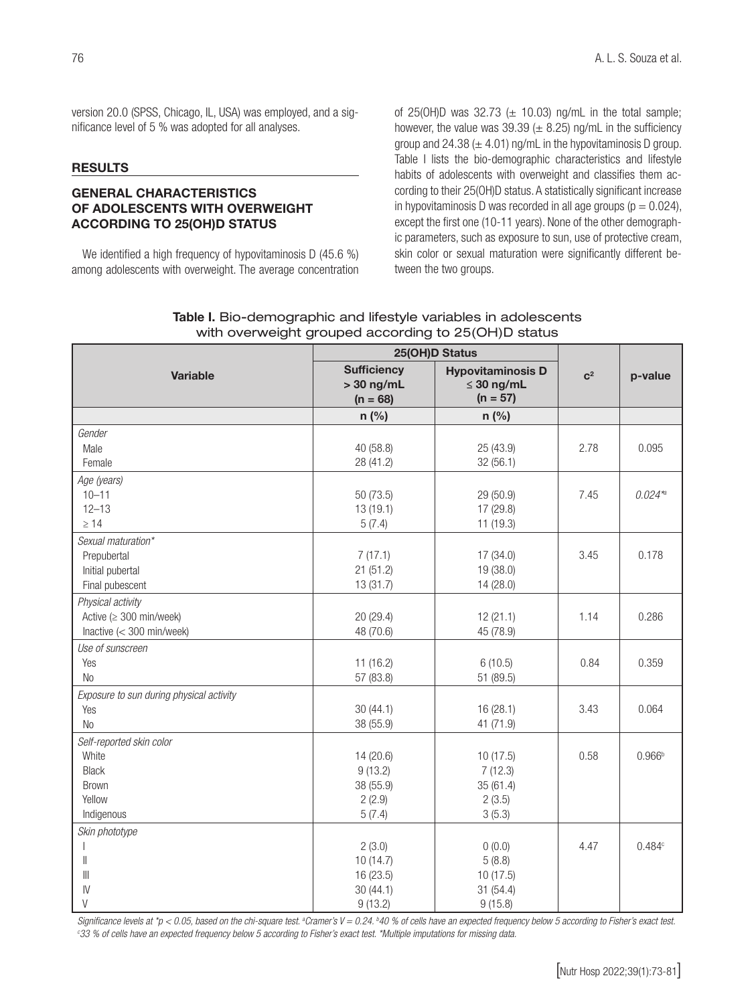version 20.0 (SPSS, Chicago, IL, USA) was employed, and a significance level of 5 % was adopted for all analyses.

#### **RESULTS**

## GENERAL CHARACTERISTICS OF ADOLESCENTS WITH OVERWEIGHT ACCORDING TO 25(OH)D STATUS

We identified a high frequency of hypovitaminosis D (45.6 %) among adolescents with overweight. The average concentration of 25(OH)D was 32.73 ( $\pm$  10.03) ng/mL in the total sample; however, the value was 39.39 ( $\pm$  8.25) ng/mL in the sufficiency group and 24.38 ( $\pm$  4.01) ng/mL in the hypovitaminosis D group. Table I lists the bio-demographic characteristics and lifestyle habits of adolescents with overweight and classifies them according to their 25(OH)D status. A statistically significant increase in hypovitaminosis D was recorded in all age groups ( $p = 0.024$ ), except the first one (10-11 years). None of the other demographic parameters, such as exposure to sun, use of protective cream, skin color or sexual maturation were significantly different between the two groups.

|                                          | 25(OH)D Status                                   |                                                           |       |                    |
|------------------------------------------|--------------------------------------------------|-----------------------------------------------------------|-------|--------------------|
| <b>Variable</b>                          | <b>Sufficiency</b><br>$>$ 30 ng/mL<br>$(n = 68)$ | <b>Hypovitaminosis D</b><br>$\leq 30$ ng/mL<br>$(n = 57)$ | $C^2$ | p-value            |
|                                          | $n$ (%)                                          | $n$ (%)                                                   |       |                    |
| Gender                                   |                                                  |                                                           |       |                    |
| Male                                     | 40 (58.8)                                        | 25 (43.9)                                                 | 2.78  | 0.095              |
| Female                                   | 28 (41.2)                                        | 32(56.1)                                                  |       |                    |
| Age (years)                              |                                                  |                                                           |       |                    |
| $10 - 11$                                | 50 (73.5)                                        | 29 (50.9)                                                 | 7.45  | $0.024*$           |
| $12 - 13$                                | 13(19.1)                                         | 17 (29.8)                                                 |       |                    |
| $\geq 14$                                | 5(7.4)                                           | 11 (19.3)                                                 |       |                    |
| Sexual maturation*                       |                                                  |                                                           |       |                    |
| Prepubertal                              | 7(17.1)                                          | 17(34.0)                                                  | 3.45  | 0.178              |
| Initial pubertal                         | 21(51.2)                                         | 19 (38.0)                                                 |       |                    |
| Final pubescent                          | 13 (31.7)                                        | 14 (28.0)                                                 |       |                    |
| Physical activity                        |                                                  |                                                           |       |                    |
| Active $(\geq 300 \text{ min/week})$     | 20 (29.4)                                        | 12(21.1)                                                  | 1.14  | 0.286              |
| Inactive $(< 300$ min/week)              | 48 (70.6)                                        | 45 (78.9)                                                 |       |                    |
| Use of sunscreen                         |                                                  |                                                           |       |                    |
| Yes                                      | 11(16.2)                                         | 6(10.5)                                                   | 0.84  | 0.359              |
| <b>No</b>                                | 57 (83.8)                                        | 51 (89.5)                                                 |       |                    |
| Exposure to sun during physical activity |                                                  |                                                           |       |                    |
| Yes                                      | 30(44.1)                                         | 16 (28.1)                                                 | 3.43  | 0.064              |
| <b>No</b>                                | 38 (55.9)                                        | 41 (71.9)                                                 |       |                    |
| Self-reported skin color                 |                                                  |                                                           |       |                    |
| White                                    | 14 (20.6)                                        | 10(17.5)                                                  | 0.58  | 0.966 <sup>b</sup> |
| <b>Black</b>                             | 9(13.2)                                          | 7(12.3)                                                   |       |                    |
| Brown                                    | 38 (55.9)                                        | 35(61.4)                                                  |       |                    |
| Yellow                                   | 2(2.9)                                           | 2(3.5)                                                    |       |                    |
| Indigenous                               | 5(7.4)                                           | 3(5.3)                                                    |       |                    |
| Skin phototype                           |                                                  |                                                           |       |                    |
|                                          | 2(3.0)                                           | 0(0.0)                                                    | 4.47  | 0.484c             |
| Ш                                        | 10(14.7)                                         | 5(8.8)                                                    |       |                    |
| $\parallel$                              | 16 (23.5)                                        | 10(17.5)                                                  |       |                    |
| $\mathsf{N}$                             | 30(44.1)                                         | 31 (54.4)                                                 |       |                    |
| $\vee$                                   | 9(13.2)                                          | 9(15.8)                                                   |       |                    |

## Table I. Bio-demographic and lifestyle variables in adolescents with overweight grouped according to 25(OH)D status

Significance levels at \*p < 0.05, based on the chi-square test. ªCramer's V = 0.24. <sup>b</sup>40 % of cells have an expected frequency below 5 according to Fisher's exact test.<br>©33 % of cells have an expected frequency below 5 ac *33 % of cells have an expected frequency below 5 according to Fisher's exact test. \*Multiple imputations for missing data.*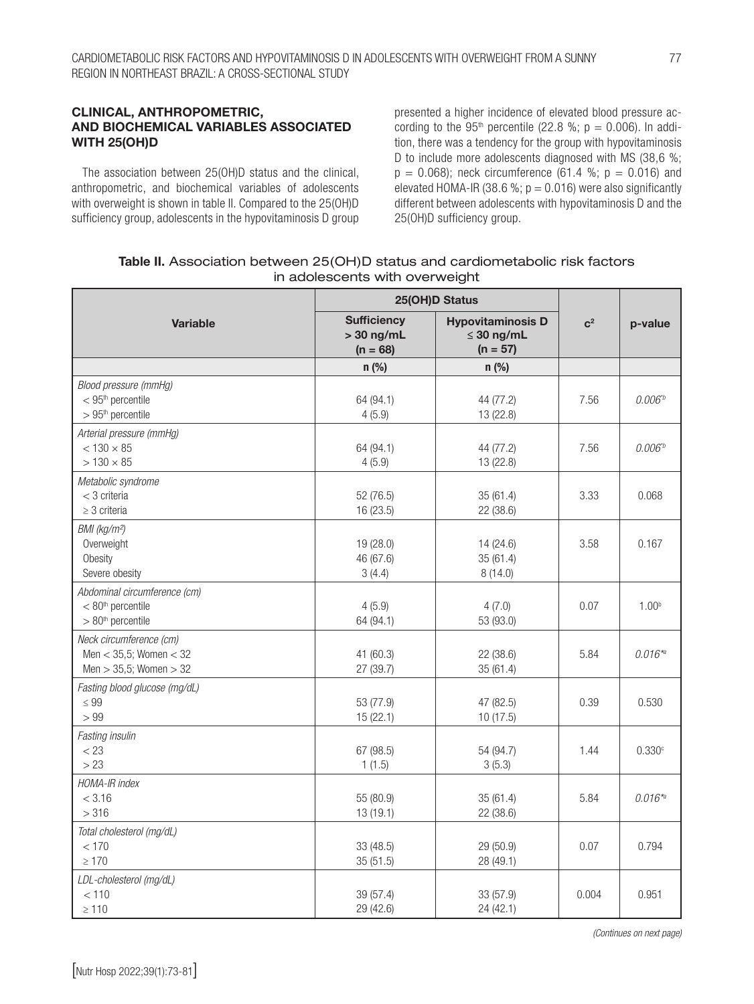## CLINICAL, ANTHROPOMETRIC, AND BIOCHEMICAL VARIABLES ASSOCIATED WITH 25(OH)D

The association between 25(OH)D status and the clinical, anthropometric, and biochemical variables of adolescents with overweight is shown in table II. Compared to the 25(OH)D sufficiency group, adolescents in the hypovitaminosis D group presented a higher incidence of elevated blood pressure according to the 95<sup>th</sup> percentile (22.8 %;  $p = 0.006$ ). In addition, there was a tendency for the group with hypovitaminosis D to include more adolescents diagnosed with MS (38,6 %;  $p = 0.068$ ; neck circumference (61.4 %;  $p = 0.016$ ) and elevated HOMA-IR (38.6 %;  $p = 0.016$ ) were also significantly different between adolescents with hypovitaminosis D and the 25(OH)D sufficiency group.

| Table II. Association between 25(OH)D status and cardiometabolic risk factors |  |
|-------------------------------------------------------------------------------|--|
| in adolescents with overweight                                                |  |

|                                                                                      | 25(OH)D Status                                   |                                                           |       |                   |
|--------------------------------------------------------------------------------------|--------------------------------------------------|-----------------------------------------------------------|-------|-------------------|
| <b>Variable</b>                                                                      | <b>Sufficiency</b><br>$>$ 30 ng/mL<br>$(n = 68)$ | <b>Hypovitaminosis D</b><br>$\leq$ 30 ng/mL<br>$(n = 57)$ | $C^2$ | p-value           |
|                                                                                      | $n$ (%)                                          | $n$ (%)                                                   |       |                   |
| Blood pressure (mmHg)<br>$<$ 95 <sup>th</sup> percentile<br>$>95th$ percentile       | 64 (94.1)<br>4(5.9)                              | 44 (77.2)<br>13 (22.8)                                    | 7.56  | $0.006^{b}$       |
| Arterial pressure (mmHg)<br>$< 130 \times 85$<br>$> 130 \times 85$                   | 64 (94.1)<br>4(5.9)                              | 44 (77.2)<br>13 (22.8)                                    | 7.56  | $0.006^{b}$       |
| Metabolic syndrome<br>$<$ 3 criteria<br>$\geq$ 3 criteria                            | 52 (76.5)<br>16 (23.5)                           | 35(61.4)<br>22 (38.6)                                     | 3.33  | 0.068             |
| BMI (kg/m <sup>2</sup> )<br>Overweight<br>Obesity<br>Severe obesity                  | 19 (28.0)<br>46 (67.6)<br>3(4.4)                 | 14 (24.6)<br>35(61.4)<br>8(14.0)                          | 3.58  | 0.167             |
| Abdominal circumference (cm)<br>$< 80th$ percentile<br>$>80th$ percentile            | 4(5.9)<br>64 (94.1)                              | 4(7.0)<br>53 (93.0)                                       | 0.07  | 1.00 <sup>b</sup> |
| Neck circumference (cm)<br>Men $<$ 35,5; Women $<$ 32<br>Men $> 35,5$ ; Women $> 32$ | 41 (60.3)<br>27 (39.7)                           | 22 (38.6)<br>35(61.4)                                     | 5.84  | $0.016*$          |
| Fasting blood glucose (mg/dL)<br>$\leq 99$<br>> 99                                   | 53 (77.9)<br>15(22.1)                            | 47 (82.5)<br>10(17.5)                                     | 0.39  | 0.530             |
| Fasting insulin<br>< 23<br>>23                                                       | 67 (98.5)<br>1(1.5)                              | 54 (94.7)<br>3(5.3)                                       | 1.44  | 0.330c            |
| HOMA-IR index<br>< 3.16<br>> 316                                                     | 55 (80.9)<br>13(19.1)                            | 35(61.4)<br>22 (38.6)                                     | 5.84  | $0.016*$          |
| Total cholesterol (mg/dL)<br>< 170<br>$\geq 170$                                     | 33 (48.5)<br>35(51.5)                            | 29 (50.9)<br>28 (49.1)                                    | 0.07  | 0.794             |
| LDL-cholesterol (mg/dL)<br>< 110<br>$\geq 110$                                       | 39 (57.4)<br>29 (42.6)                           | 33 (57.9)<br>24 (42.1)                                    | 0.004 | 0.951             |

*(Continues on next page)*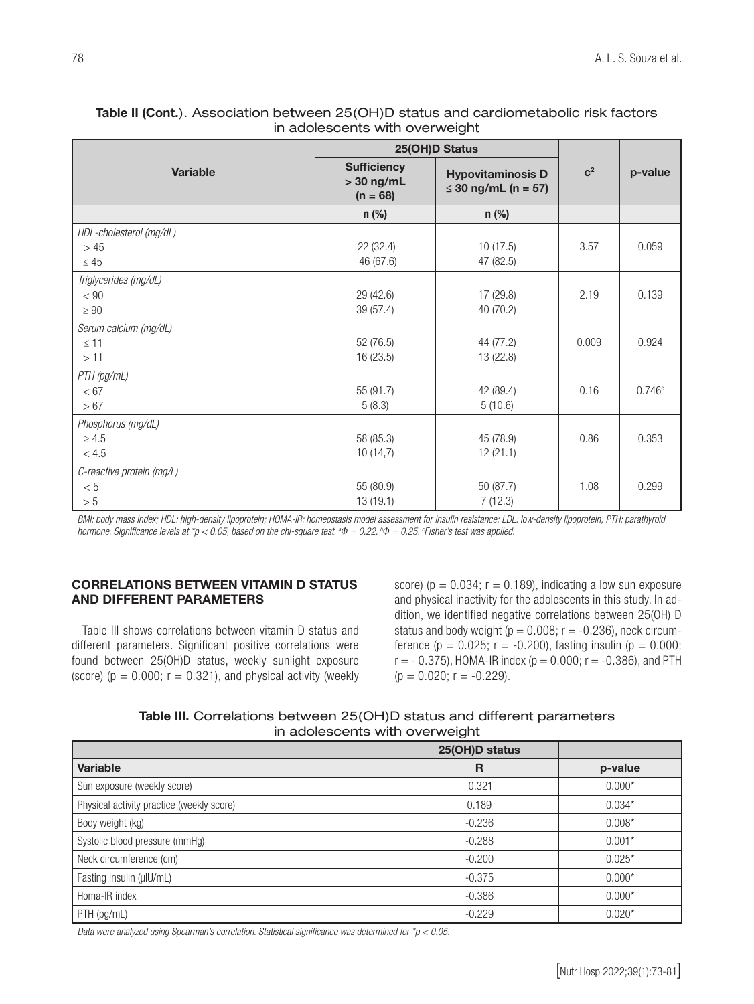|                           | 25(OH)D Status                                   |                                                 |                |         |
|---------------------------|--------------------------------------------------|-------------------------------------------------|----------------|---------|
| Variable                  | <b>Sufficiency</b><br>$>$ 30 ng/mL<br>$(n = 68)$ | <b>Hypovitaminosis D</b><br>≤ 30 ng/mL (n = 57) | $\mathbf{C}^2$ | p-value |
|                           | $n$ (%)                                          | $n$ (%)                                         |                |         |
| HDL-cholesterol (mg/dL)   |                                                  |                                                 |                |         |
| > 45                      | 22 (32.4)                                        | 10(17.5)                                        | 3.57           | 0.059   |
| $\leq 45$                 | 46 (67.6)                                        | 47 (82.5)                                       |                |         |
| Triglycerides (mg/dL)     |                                                  |                                                 |                |         |
| < 90                      | 29 (42.6)                                        | 17 (29.8)                                       | 2.19           | 0.139   |
| $\geq 90$                 | 39 (57.4)                                        | 40 (70.2)                                       |                |         |
| Serum calcium (mg/dL)     |                                                  |                                                 |                |         |
| $\leq$ 11                 | 52 (76.5)                                        | 44 (77.2)                                       | 0.009          | 0.924   |
| >11                       | 16(23.5)                                         | 13 (22.8)                                       |                |         |
| PTH (pg/mL)               |                                                  |                                                 |                |         |
| < 67                      | 55 (91.7)                                        | 42 (89.4)                                       | 0.16           | 0.746c  |
| > 67                      | 5(8.3)                                           | 5(10.6)                                         |                |         |
| Phosphorus (mg/dL)        |                                                  |                                                 |                |         |
| $\geq 4.5$                | 58 (85.3)                                        | 45 (78.9)                                       | 0.86           | 0.353   |
| $<4.5\,$                  | 10(14,7)                                         | 12(21.1)                                        |                |         |
| C-reactive protein (mg/L) |                                                  |                                                 |                |         |
| < 5                       | 55 (80.9)                                        | 50 (87.7)                                       | 1.08           | 0.299   |
| $> 5\,$                   | 13(19.1)                                         | 7(12.3)                                         |                |         |

## Table II (Cont.). Association between 25(OH)D status and cardiometabolic risk factors in adolescents with overweight

*BMI: body mass index; HDL: high-density lipoprotein; HOMA-IR: homeostasis model assessment for insulin resistance; LDL: low-density lipoprotein; PTH: parathyroid hormone. Significance levels at \*p < 0.05, based on the chi-square test. a Φ = 0.22. b Φ = 0.25. c Fisher's test was applied.*

## CORRELATIONS BETWEEN VITAMIN D STATUS AND DIFFERENT PARAMETERS

Table III shows correlations between vitamin D status and different parameters. Significant positive correlations were found between 25(OH)D status, weekly sunlight exposure (score) ( $p = 0.000$ ;  $r = 0.321$ ), and physical activity (weekly score) ( $p = 0.034$ ;  $r = 0.189$ ), indicating a low sun exposure and physical inactivity for the adolescents in this study. In addition, we identified negative correlations between 25(OH) D status and body weight ( $p = 0.008$ ;  $r = -0.236$ ), neck circumference ( $p = 0.025$ ;  $r = -0.200$ ), fasting insulin ( $p = 0.000$ ;  $r = -0.375$ , HOMA-IR index ( $p = 0.000$ ;  $r = -0.386$ ), and PTH  $(p = 0.020; r = -0.229)$ .

Table III. Correlations between 25(OH)D status and different parameters in adolescents with overweight

|                                           | 25(OH)D status |          |
|-------------------------------------------|----------------|----------|
| Variable                                  | R              | p-value  |
| Sun exposure (weekly score)               | 0.321          | $0.000*$ |
| Physical activity practice (weekly score) | 0.189          | $0.034*$ |
| Body weight (kg)                          | $-0.236$       | $0.008*$ |
| Systolic blood pressure (mmHg)            | $-0.288$       | $0.001*$ |
| Neck circumference (cm)                   | $-0.200$       | $0.025*$ |
| Fasting insulin (µIU/mL)                  | $-0.375$       | $0.000*$ |
| Homa-IR index                             | $-0.386$       | $0.000*$ |
| PTH (pg/mL)                               | $-0.229$       | $0.020*$ |

*Data were analyzed using Spearman's correlation. Statistical significance was determined for \*p < 0.05.*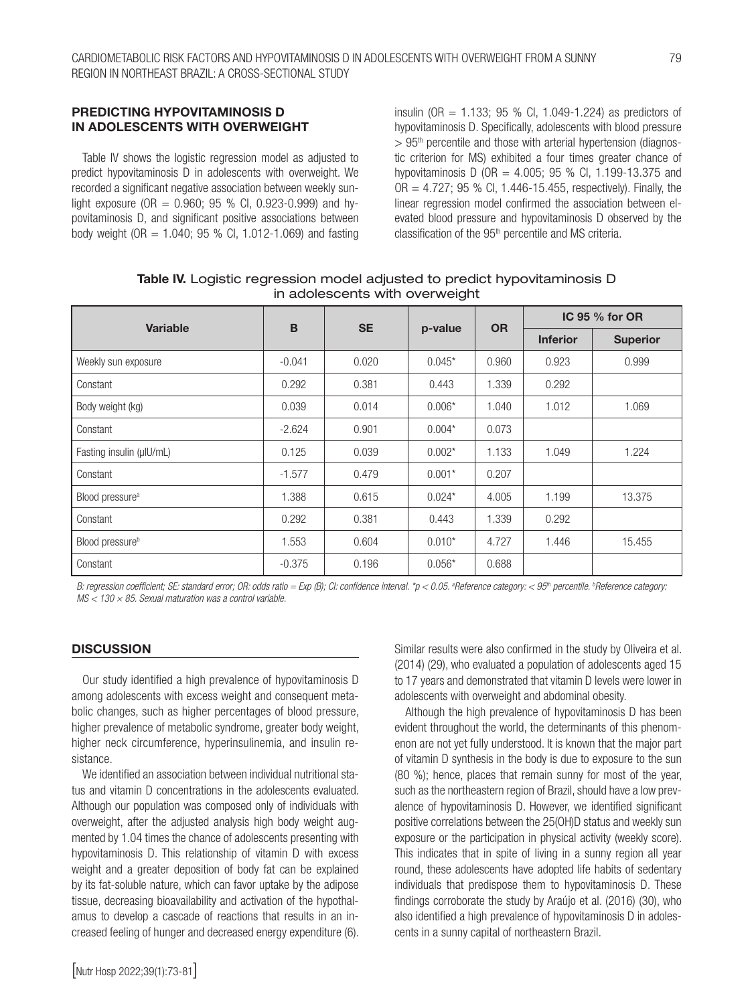## PREDICTING HYPOVITAMINOSIS D IN ADOLESCENTS WITH OVERWEIGHT

Table IV shows the logistic regression model as adjusted to predict hypovitaminosis D in adolescents with overweight. We recorded a significant negative association between weekly sunlight exposure (OR  $= 0.960$ ; 95 % Cl, 0.923-0.999) and hypovitaminosis D, and significant positive associations between body weight (OR = 1.040; 95 % CI, 1.012-1.069) and fasting

insulin (OR =  $1.133$ ; 95 % Cl, 1.049-1.224) as predictors of hypovitaminosis D. Specifically, adolescents with blood pressure  $> 95<sup>th</sup>$  percentile and those with arterial hypertension (diagnostic criterion for MS) exhibited a four times greater chance of hypovitaminosis D (OR = 4.005; 95 % CI, 1.199-13.375 and  $OR = 4.727$ ; 95 % Cl, 1.446-15.455, respectively). Finally, the linear regression model confirmed the association between elevated blood pressure and hypovitaminosis D observed by the classification of the 95<sup>th</sup> percentile and MS criteria.

|                             | B<br><b>SE</b><br><b>Variable</b><br>p-value |       | IC 95 % for OR |                 |                 |        |
|-----------------------------|----------------------------------------------|-------|----------------|-----------------|-----------------|--------|
|                             |                                              |       | <b>OR</b>      | <b>Inferior</b> | <b>Superior</b> |        |
| Weekly sun exposure         | $-0.041$                                     | 0.020 | $0.045*$       | 0.960           | 0.923           | 0.999  |
| Constant                    | 0.292                                        | 0.381 | 0.443          | 1.339           | 0.292           |        |
| Body weight (kg)            | 0.039                                        | 0.014 | $0.006*$       | 1.040           | 1.012           | 1.069  |
| Constant                    | $-2.624$                                     | 0.901 | $0.004*$       | 0.073           |                 |        |
| Fasting insulin (µIU/mL)    | 0.125                                        | 0.039 | $0.002*$       | 1.133           | 1.049           | 1.224  |
| Constant                    | $-1.577$                                     | 0.479 | $0.001*$       | 0.207           |                 |        |
| Blood pressure <sup>a</sup> | 1.388                                        | 0.615 | $0.024*$       | 4.005           | 1.199           | 13.375 |
| Constant                    | 0.292                                        | 0.381 | 0.443          | 1.339           | 0.292           |        |
| Blood pressure <sup>b</sup> | 1.553                                        | 0.604 | $0.010*$       | 4.727           | 1.446           | 15.455 |
| Constant                    | $-0.375$                                     | 0.196 | $0.056*$       | 0.688           |                 |        |

Table IV. Logistic regression model adjusted to predict hypovitaminosis D in adolescents with overweight

B: regression coefficient; SE: standard error; OR: odds ratio = Exp (B); CI: confidence interval. \*p < 0.05. ªReference category: < 95<sup>th</sup> percentile. <sup>b</sup>Reference category: *MS < 130 × 85. Sexual maturation was a control variable.*

#### **DISCUSSION**

Our study identified a high prevalence of hypovitaminosis D among adolescents with excess weight and consequent metabolic changes, such as higher percentages of blood pressure, higher prevalence of metabolic syndrome, greater body weight, higher neck circumference, hyperinsulinemia, and insulin resistance.

We identified an association between individual nutritional status and vitamin D concentrations in the adolescents evaluated. Although our population was composed only of individuals with overweight, after the adjusted analysis high body weight augmented by 1.04 times the chance of adolescents presenting with hypovitaminosis D. This relationship of vitamin D with excess weight and a greater deposition of body fat can be explained by its fat-soluble nature, which can favor uptake by the adipose tissue, decreasing bioavailability and activation of the hypothalamus to develop a cascade of reactions that results in an increased feeling of hunger and decreased energy expenditure (6). Similar results were also confirmed in the study by Oliveira et al. (2014) (29), who evaluated a population of adolescents aged 15 to 17 years and demonstrated that vitamin D levels were lower in adolescents with overweight and abdominal obesity.

Although the high prevalence of hypovitaminosis D has been evident throughout the world, the determinants of this phenomenon are not yet fully understood. It is known that the major part of vitamin D synthesis in the body is due to exposure to the sun (80 %); hence, places that remain sunny for most of the year, such as the northeastern region of Brazil, should have a low prevalence of hypovitaminosis D. However, we identified significant positive correlations between the 25(OH)D status and weekly sun exposure or the participation in physical activity (weekly score). This indicates that in spite of living in a sunny region all year round, these adolescents have adopted life habits of sedentary individuals that predispose them to hypovitaminosis D. These findings corroborate the study by Araújo et al. (2016) (30), who also identified a high prevalence of hypovitaminosis D in adolescents in a sunny capital of northeastern Brazil.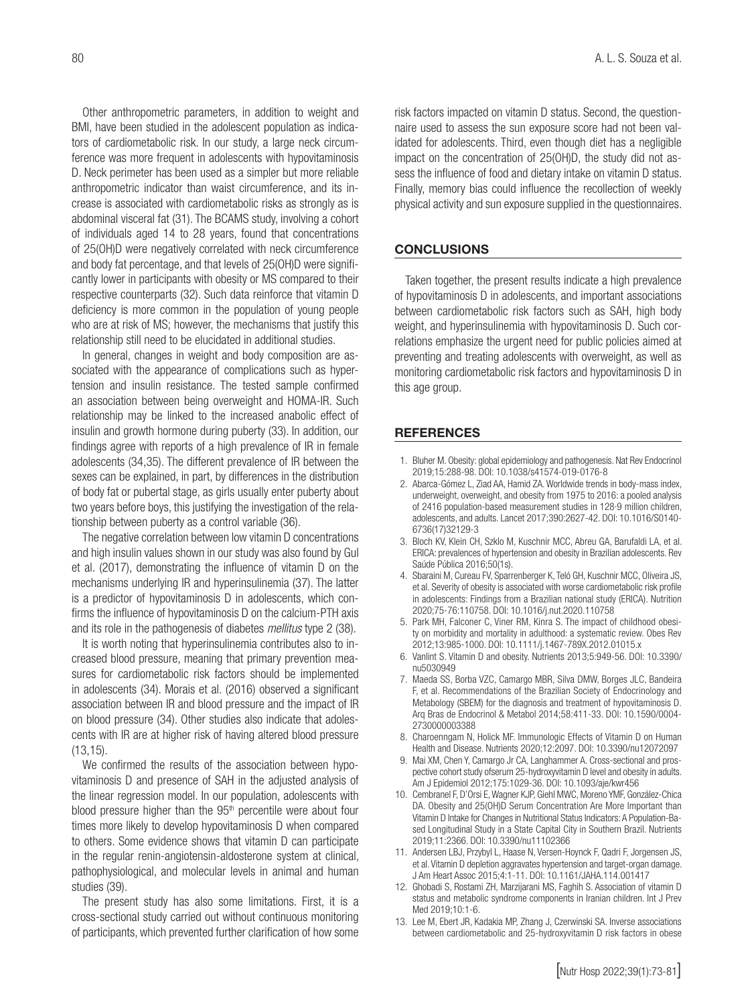Other anthropometric parameters, in addition to weight and BMI, have been studied in the adolescent population as indicators of cardiometabolic risk. In our study, a large neck circumference was more frequent in adolescents with hypovitaminosis D. Neck perimeter has been used as a simpler but more reliable anthropometric indicator than waist circumference, and its increase is associated with cardiometabolic risks as strongly as is abdominal visceral fat (31). The BCAMS study, involving a cohort of individuals aged 14 to 28 years, found that concentrations of 25(OH)D were negatively correlated with neck circumference and body fat percentage, and that levels of 25(OH)D were significantly lower in participants with obesity or MS compared to their respective counterparts (32). Such data reinforce that vitamin D deficiency is more common in the population of young people who are at risk of MS; however, the mechanisms that justify this relationship still need to be elucidated in additional studies.

In general, changes in weight and body composition are associated with the appearance of complications such as hypertension and insulin resistance. The tested sample confirmed an association between being overweight and HOMA-IR. Such relationship may be linked to the increased anabolic effect of insulin and growth hormone during puberty (33). In addition, our findings agree with reports of a high prevalence of IR in female adolescents (34,35). The different prevalence of IR between the sexes can be explained, in part, by differences in the distribution of body fat or pubertal stage, as girls usually enter puberty about two years before boys, this justifying the investigation of the relationship between puberty as a control variable (36).

The negative correlation between low vitamin D concentrations and high insulin values shown in our study was also found by Gul et al. (2017), demonstrating the influence of vitamin D on the mechanisms underlying IR and hyperinsulinemia (37). The latter is a predictor of hypovitaminosis D in adolescents, which confirms the influence of hypovitaminosis D on the calcium-PTH axis and its role in the pathogenesis of diabetes *mellitus* type 2 (38).

It is worth noting that hyperinsulinemia contributes also to increased blood pressure, meaning that primary prevention measures for cardiometabolic risk factors should be implemented in adolescents (34). Morais et al. (2016) observed a significant association between IR and blood pressure and the impact of IR on blood pressure (34). Other studies also indicate that adolescents with IR are at higher risk of having altered blood pressure (13,15).

We confirmed the results of the association between hypovitaminosis D and presence of SAH in the adjusted analysis of the linear regression model. In our population, adolescents with blood pressure higher than the 95<sup>th</sup> percentile were about four times more likely to develop hypovitaminosis D when compared to others. Some evidence shows that vitamin D can participate in the regular renin-angiotensin-aldosterone system at clinical, pathophysiological, and molecular levels in animal and human studies (39).

The present study has also some limitations. First, it is a cross-sectional study carried out without continuous monitoring of participants, which prevented further clarification of how some

risk factors impacted on vitamin D status. Second, the questionnaire used to assess the sun exposure score had not been validated for adolescents. Third, even though diet has a negligible impact on the concentration of 25(OH)D, the study did not assess the influence of food and dietary intake on vitamin D status. Finally, memory bias could influence the recollection of weekly physical activity and sun exposure supplied in the questionnaires.

#### **CONCLUSIONS**

Taken together, the present results indicate a high prevalence of hypovitaminosis D in adolescents, and important associations between cardiometabolic risk factors such as SAH, high body weight, and hyperinsulinemia with hypovitaminosis D. Such correlations emphasize the urgent need for public policies aimed at preventing and treating adolescents with overweight, as well as monitoring cardiometabolic risk factors and hypovitaminosis D in this age group.

#### **REFERENCES**

- 1. Bluher M. Obesity: global epidemiology and pathogenesis. Nat Rev Endocrinol 2019;15:288-98. DOI: 10.1038/s41574-019-0176-8
- 2. Abarca-Gómez L, Ziad AA, Hamid ZA. Worldwide trends in body-mass index, underweight, overweight, and obesity from 1975 to 2016: a pooled analysis of 2416 population-based measurement studies in 128·9 million children, adolescents, and adults. Lancet 2017;390:2627-42. DOI: 10.1016/S0140- 6736(17)32129-3
- 3. Bloch KV, Klein CH, Szklo M, Kuschnir MCC, Abreu GA, Barufaldi LA, et al. ERICA: prevalences of hypertension and obesity in Brazilian adolescents. Rev Saúde Pública 2016;50(1s).
- 4. Sbaraini M, Cureau FV, Sparrenberger K, Teló GH, Kuschnir MCC, Oliveira JS, et al. Severity of obesity is associated with worse cardiometabolic risk profile in adolescents: Findings from a Brazilian national study (ERICA). Nutrition 2020;75-76:110758. DOI: 10.1016/j.nut.2020.110758
- 5. Park MH, Falconer C, Viner RM, Kinra S. The impact of childhood obesity on morbidity and mortality in adulthood: a systematic review. Obes Rev 2012;13:985-1000. DOI: 10.1111/j.1467-789X.2012.01015.x
- 6. Vanlint S. Vitamin D and obesity. Nutrients 2013;5:949-56. DOI: 10.3390/ nu5030949
- 7. Maeda SS, Borba VZC, Camargo MBR, Silva DMW, Borges JLC, Bandeira F, et al. Recommendations of the Brazilian Society of Endocrinology and Metabology (SBEM) for the diagnosis and treatment of hypovitaminosis D. Arq Bras de Endocrinol & Metabol 2014;58:411-33. DOI: 10.1590/0004- 2730000003388
- 8. Charoenngam N, Holick MF. Immunologic Effects of Vitamin D on Human Health and Disease. Nutrients 2020;12:2097. DOI: 10.3390/nu12072097
- 9. Mai XM, Chen Y, Camargo Jr CA, Langhammer A. Cross-sectional and prospective cohort study ofserum 25-hydroxyvitamin D level and obesity in adults. Am J Epidemiol 2012;175:1029-36. DOI: 10.1093/aje/kwr456
- 10. Cembranel F, D'Orsi E, Wagner KJP, Giehl MWC, Moreno YMF, González-Chica DA. Obesity and 25(OH)D Serum Concentration Are More Important than Vitamin D Intake for Changes in Nutritional Status Indicators: A Population-Based Longitudinal Study in a State Capital City in Southern Brazil. Nutrients 2019;11:2366. DOI: 10.3390/nu11102366
- 11. Andersen LBJ, Przybyl L, Haase N, Versen-Hoynck F, Qadri F, Jorgensen JS, et al. Vitamin D depletion aggravates hypertension and target-organ damage. J Am Heart Assoc 2015;4:1-11. DOI: 10.1161/JAHA.114.001417
- 12. Ghobadi S, Rostami ZH, Marzijarani MS, Faghih S. Association of vitamin D status and metabolic syndrome components in Iranian children. Int J Prev Med 2019;10:1-6.
- 13. Lee M, Ebert JR, Kadakia MP, Zhang J, Czerwinski SA. Inverse associations between cardiometabolic and 25-hydroxyvitamin D risk factors in obese